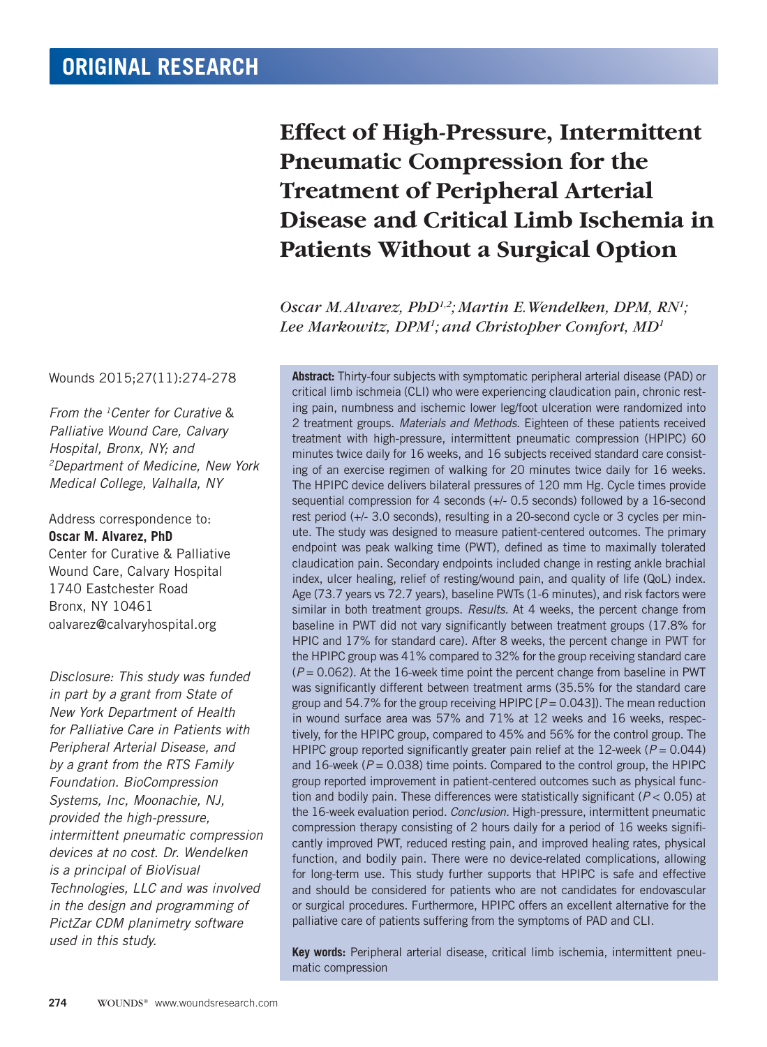## Wounds 2015;27(11):274-278

*From the 1Center for Curative* & *Palliative Wound Care, Calvary Hospital, Bronx, NY; and 2Department of Medicine, New York Medical College, Valhalla, NY*

Address correspondence to: **Oscar M. Alvarez, PhD** Center for Curative & Palliative Wound Care, Calvary Hospital 1740 Eastchester Road Bronx, NY 10461 oalvarez@calvaryhospital.org

*Disclosure: This study was funded in part by a grant from State of New York Department of Health for Palliative Care in Patients with Peripheral Arterial Disease, and by a grant from the RTS Family Foundation. BioCompression Systems, Inc, Moonachie, NJ, provided the high-pressure, intermittent pneumatic compression devices at no cost. Dr. Wendelken is a principal of BioVisual Technologies, LLC and was involved in the design and programming of PictZar CDM planimetry software used in this study.* 

# **Effect of High-Pressure, Intermittent Pneumatic Compression for the Treatment of Peripheral Arterial Disease and Critical Limb Ischemia in Patients Without a Surgical Option**

*Oscar M. Alvarez, PhD1,2; Martin E. Wendelken, DPM, RN1 ; Lee Markowitz, DPM1 ; and Christopher Comfort, MD1*

**Abstract:** Thirty-four subjects with symptomatic peripheral arterial disease (PAD) or critical limb ischmeia (CLI) who were experiencing claudication pain, chronic resting pain, numbness and ischemic lower leg/foot ulceration were randomized into 2 treatment groups. *Materials and Methods.* Eighteen of these patients received treatment with high-pressure, intermittent pneumatic compression (HPIPC) 60 minutes twice daily for 16 weeks, and 16 subjects received standard care consisting of an exercise regimen of walking for 20 minutes twice daily for 16 weeks. The HPIPC device delivers bilateral pressures of 120 mm Hg. Cycle times provide sequential compression for 4 seconds (+/- 0.5 seconds) followed by a 16-second rest period (+/- 3.0 seconds), resulting in a 20-second cycle or 3 cycles per minute. The study was designed to measure patient-centered outcomes. The primary endpoint was peak walking time (PWT), defined as time to maximally tolerated claudication pain. Secondary endpoints included change in resting ankle brachial index, ulcer healing, relief of resting/wound pain, and quality of life (QoL) index. Age (73.7 years vs 72.7 years), baseline PWTs (1-6 minutes), and risk factors were similar in both treatment groups. *Results.* At 4 weeks, the percent change from baseline in PWT did not vary significantly between treatment groups (17.8% for HPIC and 17% for standard care). After 8 weeks, the percent change in PWT for the HPIPC group was 41% compared to 32% for the group receiving standard care (*P* = 0.062). At the 16-week time point the percent change from baseline in PWT was significantly different between treatment arms (35.5% for the standard care group and 54.7% for the group receiving HPIPC [*P* = 0.043]). The mean reduction in wound surface area was 57% and 71% at 12 weeks and 16 weeks, respectively, for the HPIPC group, compared to 45% and 56% for the control group. The HPIPC group reported significantly greater pain relief at the 12-week ( $P = 0.044$ ) and  $16$ -week ( $P = 0.038$ ) time points. Compared to the control group, the HPIPC group reported improvement in patient-centered outcomes such as physical function and bodily pain. These differences were statistically significant (*P* < 0.05) at the 16-week evaluation period. *Conclusion.* High-pressure, intermittent pneumatic compression therapy consisting of 2 hours daily for a period of 16 weeks significantly improved PWT, reduced resting pain, and improved healing rates, physical function, and bodily pain. There were no device-related complications, allowing for long-term use. This study further supports that HPIPC is safe and effective and should be considered for patients who are not candidates for endovascular or surgical procedures. Furthermore, HPIPC offers an excellent alternative for the palliative care of patients suffering from the symptoms of PAD and CLI.

**Key words:** Peripheral arterial disease, critical limb ischemia, intermittent pneumatic compression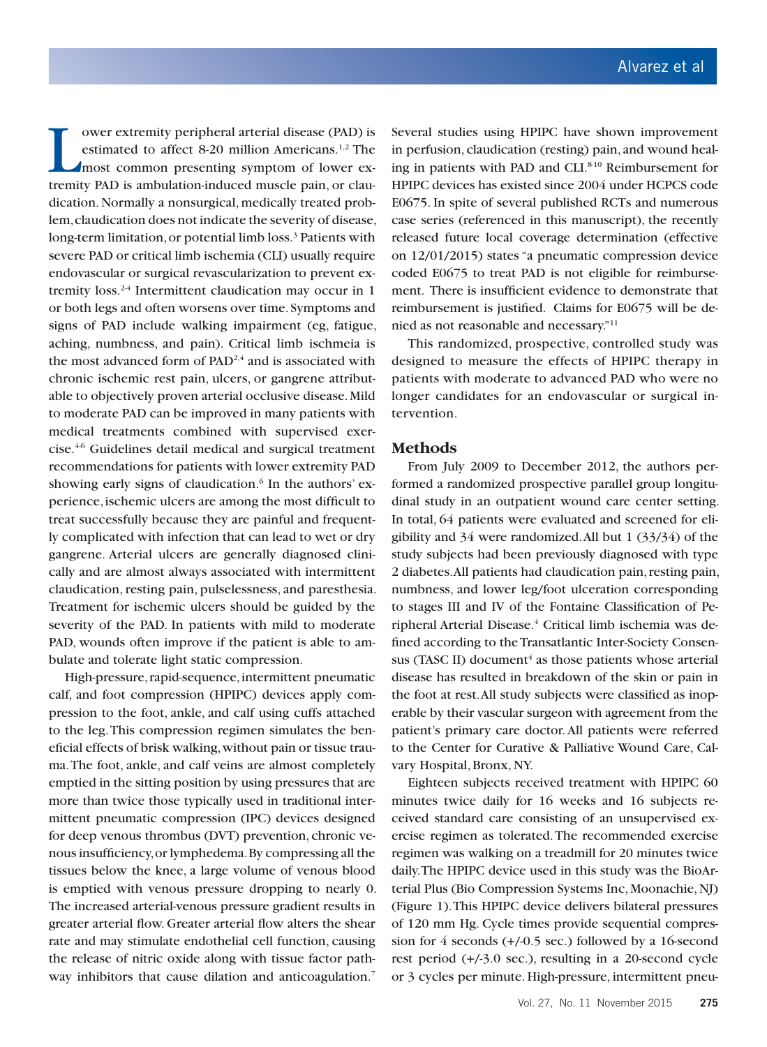The ower extremity peripheral arterial disease (PAD) is estimated to affect 8-20 million Americans.<sup>1,2</sup> The most common presenting symptom of lower extremity PAD is ambulation-induced muscle pain, or clauower extremity peripheral arterial disease (PAD) is estimated to affect 8-20 million Americans.<sup>1,2</sup> The most common presenting symptom of lower exdication. Normally a nonsurgical, medically treated problem, claudication does not indicate the severity of disease, long-term limitation, or potential limb loss.<sup>3</sup> Patients with severe PAD or critical limb ischemia (CLI) usually require endovascular or surgical revascularization to prevent extremity loss.<sup>24</sup> Intermittent claudication may occur in 1 or both legs and often worsens over time. Symptoms and signs of PAD include walking impairment (eg, fatigue, aching, numbness, and pain). Critical limb ischmeia is the most advanced form of  $PAD^{2,4}$  and is associated with chronic ischemic rest pain, ulcers, or gangrene attributable to objectively proven arterial occlusive disease. Mild to moderate PAD can be improved in many patients with medical treatments combined with supervised exercise.4-6 Guidelines detail medical and surgical treatment recommendations for patients with lower extremity PAD showing early signs of claudication.<sup>6</sup> In the authors' experience, ischemic ulcers are among the most difficult to treat successfully because they are painful and frequently complicated with infection that can lead to wet or dry gangrene. Arterial ulcers are generally diagnosed clinically and are almost always associated with intermittent claudication, resting pain, pulselessness, and paresthesia. Treatment for ischemic ulcers should be guided by the severity of the PAD. In patients with mild to moderate PAD, wounds often improve if the patient is able to ambulate and tolerate light static compression.

High-pressure, rapid-sequence, intermittent pneumatic calf, and foot compression (HPIPC) devices apply compression to the foot, ankle, and calf using cuffs attached to the leg. This compression regimen simulates the beneficial effects of brisk walking, without pain or tissue trauma. The foot, ankle, and calf veins are almost completely emptied in the sitting position by using pressures that are more than twice those typically used in traditional intermittent pneumatic compression (IPC) devices designed for deep venous thrombus (DVT) prevention, chronic venous insufficiency, or lymphedema. By compressing all the tissues below the knee, a large volume of venous blood is emptied with venous pressure dropping to nearly 0. The increased arterial-venous pressure gradient results in greater arterial flow. Greater arterial flow alters the shear rate and may stimulate endothelial cell function, causing the release of nitric oxide along with tissue factor pathway inhibitors that cause dilation and anticoagulation.<sup>7</sup>

Several studies using HPIPC have shown improvement in perfusion, claudication (resting) pain, and wound healing in patients with PAD and CLI.<sup>8-10</sup> Reimbursement for HPIPC devices has existed since 2004 under HCPCS code E0675. In spite of several published RCTs and numerous case series (referenced in this manuscript), the recently released future local coverage determination (effective on 12/01/2015) states "a pneumatic compression device coded E0675 to treat PAD is not eligible for reimbursement. There is insufficient evidence to demonstrate that reimbursement is justified. Claims for E0675 will be denied as not reasonable and necessary."11

This randomized, prospective, controlled study was designed to measure the effects of HPIPC therapy in patients with moderate to advanced PAD who were no longer candidates for an endovascular or surgical intervention.

#### **Methods**

From July 2009 to December 2012, the authors performed a randomized prospective parallel group longitudinal study in an outpatient wound care center setting. In total, 64 patients were evaluated and screened for eligibility and 34 were randomized. All but 1 (33/34) of the study subjects had been previously diagnosed with type 2 diabetes. All patients had claudication pain, resting pain, numbness, and lower leg/foot ulceration corresponding to stages III and IV of the Fontaine Classification of Peripheral Arterial Disease.<sup>4</sup> Critical limb ischemia was defined according to the Transatlantic Inter-Society Consensus (TASC II) document<sup>4</sup> as those patients whose arterial disease has resulted in breakdown of the skin or pain in the foot at rest. All study subjects were classified as inoperable by their vascular surgeon with agreement from the patient's primary care doctor. All patients were referred to the Center for Curative & Palliative Wound Care, Calvary Hospital, Bronx, NY.

Eighteen subjects received treatment with HPIPC 60 minutes twice daily for 16 weeks and 16 subjects received standard care consisting of an unsupervised exercise regimen as tolerated. The recommended exercise regimen was walking on a treadmill for 20 minutes twice daily. The HPIPC device used in this study was the BioArterial Plus (Bio Compression Systems Inc, Moonachie, NJ) (Figure 1). This HPIPC device delivers bilateral pressures of 120 mm Hg. Cycle times provide sequential compression for 4 seconds (+/-0.5 sec.) followed by a 16-second rest period (+/-3.0 sec.), resulting in a 20-second cycle or 3 cycles per minute. High-pressure, intermittent pneu-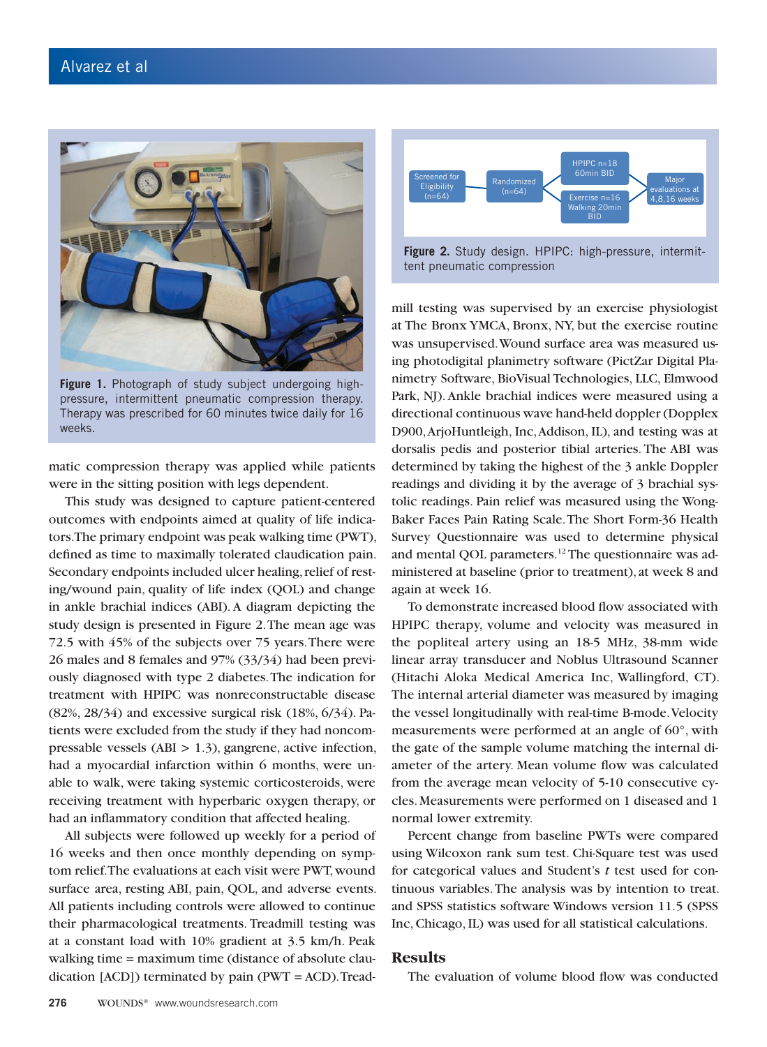

**Figure 1.** Photograph of study subject undergoing highpressure, intermittent pneumatic compression therapy. Therapy was prescribed for 60 minutes twice daily for 16 weeks.

matic compression therapy was applied while patients were in the sitting position with legs dependent.

This study was designed to capture patient-centered outcomes with endpoints aimed at quality of life indicators. The primary endpoint was peak walking time (PWT), defined as time to maximally tolerated claudication pain. Secondary endpoints included ulcer healing, relief of resting/wound pain, quality of life index (QOL) and change in ankle brachial indices (ABI). A diagram depicting the study design is presented in Figure 2. The mean age was 72.5 with 45% of the subjects over 75 years. There were 26 males and 8 females and 97% (33/34) had been previously diagnosed with type 2 diabetes. The indication for treatment with HPIPC was nonreconstructable disease (82%, 28/34) and excessive surgical risk (18%, 6/34). Patients were excluded from the study if they had noncompressable vessels (ABI > 1.3), gangrene, active infection, had a myocardial infarction within 6 months, were unable to walk, were taking systemic corticosteroids, were receiving treatment with hyperbaric oxygen therapy, or had an inflammatory condition that affected healing.

All subjects were followed up weekly for a period of 16 weeks and then once monthly depending on symptom relief. The evaluations at each visit were PWT, wound surface area, resting ABI, pain, QOL, and adverse events. All patients including controls were allowed to continue their pharmacological treatments. Treadmill testing was at a constant load with 10% gradient at 3.5 km/h. Peak walking time = maximum time (distance of absolute claudication  $[ACD]$ ) terminated by pain  $(PWT = ACD)$ . Tread-



**Figure 2.** Study design. HPIPC: high-pressure, intermittent pneumatic compression

mill testing was supervised by an exercise physiologist at The Bronx YMCA, Bronx, NY, but the exercise routine was unsupervised. Wound surface area was measured using photodigital planimetry software (PictZar Digital Planimetry Software, BioVisual Technologies, LLC, Elmwood Park, NJ). Ankle brachial indices were measured using a directional continuous wave hand-held doppler (Dopplex D900, ArjoHuntleigh, Inc, Addison, IL), and testing was at dorsalis pedis and posterior tibial arteries. The ABI was determined by taking the highest of the 3 ankle Doppler readings and dividing it by the average of 3 brachial systolic readings. Pain relief was measured using the Wong-Baker Faces Pain Rating Scale. The Short Form-36 Health Survey Questionnaire was used to determine physical and mental QOL parameters.<sup>12</sup> The questionnaire was administered at baseline (prior to treatment), at week 8 and again at week 16.

To demonstrate increased blood flow associated with HPIPC therapy, volume and velocity was measured in the popliteal artery using an 18-5 MHz, 38-mm wide linear array transducer and Noblus Ultrasound Scanner (Hitachi Aloka Medical America Inc, Wallingford, CT). The internal arterial diameter was measured by imaging the vessel longitudinally with real-time B-mode. Velocity measurements were performed at an angle of 60°, with the gate of the sample volume matching the internal diameter of the artery. Mean volume flow was calculated from the average mean velocity of 5-10 consecutive cycles. Measurements were performed on 1 diseased and 1 normal lower extremity.

Percent change from baseline PWTs were compared using Wilcoxon rank sum test. Chi-Square test was used for categorical values and Student's *t* test used for continuous variables. The analysis was by intention to treat. and SPSS statistics software Windows version 11.5 (SPSS Inc, Chicago, IL) was used for all statistical calculations.

#### **Results**

The evaluation of volume blood flow was conducted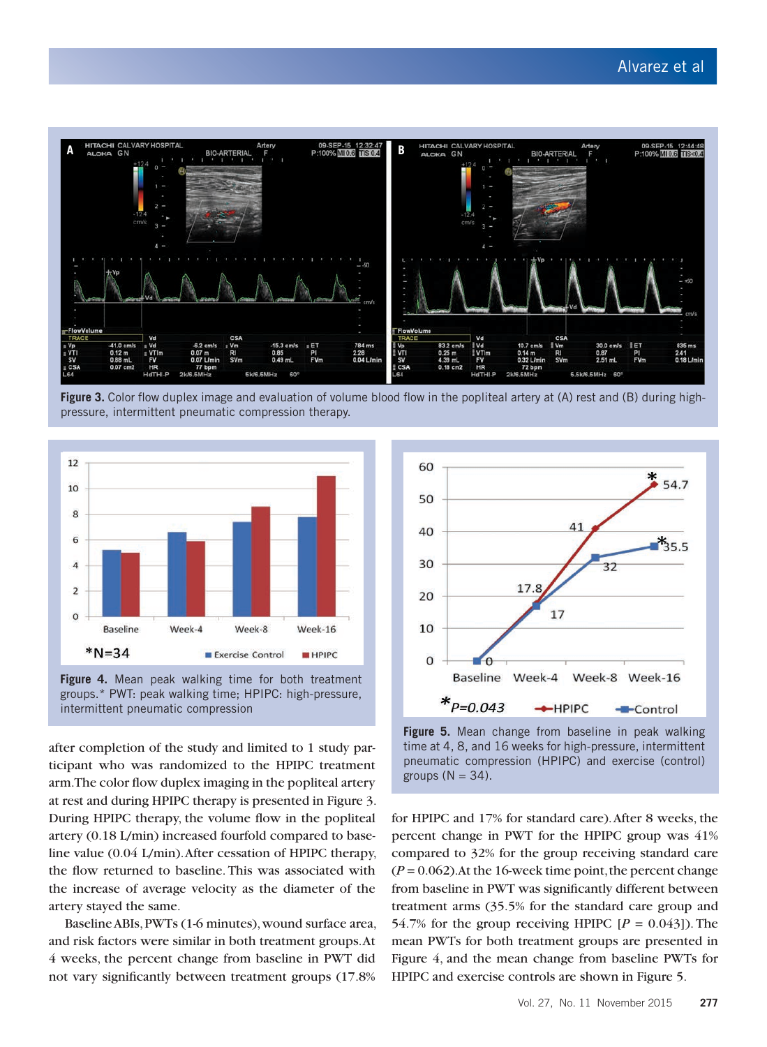

**Figure 3.** Color flow duplex image and evaluation of volume blood flow in the popliteal artery at (A) rest and (B) during highpressure, intermittent pneumatic compression therapy.





after completion of the study and limited to 1 study participant who was randomized to the HPIPC treatment arm. The color flow duplex imaging in the popliteal artery at rest and during HPIPC therapy is presented in Figure 3. During HPIPC therapy, the volume flow in the popliteal artery (0.18 L/min) increased fourfold compared to baseline value (0.04 L/min). After cessation of HPIPC therapy, the flow returned to baseline. This was associated with the increase of average velocity as the diameter of the artery stayed the same.

Baseline ABIs, PWTs (1-6 minutes), wound surface area, and risk factors were similar in both treatment groups. At 4 weeks, the percent change from baseline in PWT did not vary significantly between treatment groups (17.8%



**Figure 5.** Mean change from baseline in peak walking time at 4, 8, and 16 weeks for high-pressure, intermittent pneumatic compression (HPIPC) and exercise (control) groups  $(N = 34)$ .

for HPIPC and 17% for standard care). After 8 weeks, the percent change in PWT for the HPIPC group was 41% compared to 32% for the group receiving standard care  $(P = 0.062)$ . At the 16-week time point, the percent change from baseline in PWT was significantly different between treatment arms (35.5% for the standard care group and 54.7% for the group receiving HPIPC  $[P = 0.043]$ ). The mean PWTs for both treatment groups are presented in Figure 4, and the mean change from baseline PWTs for HPIPC and exercise controls are shown in Figure 5.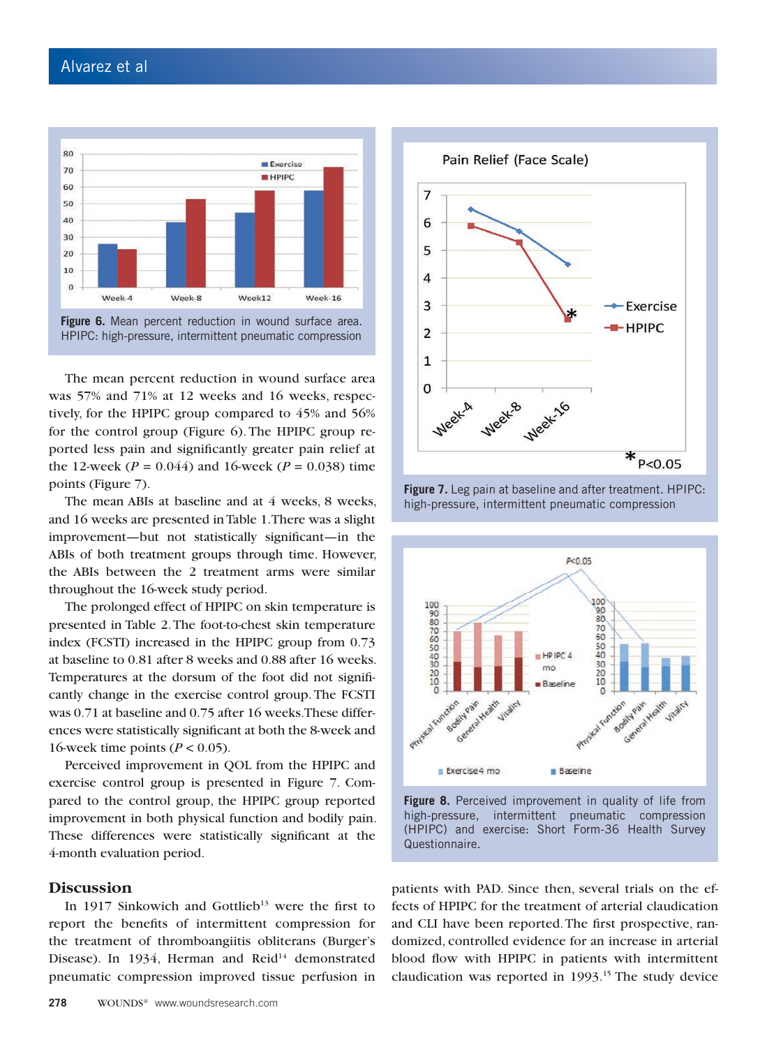

The mean percent reduction in wound surface area was 57% and 71% at 12 weeks and 16 weeks, respectively, for the HPIPC group compared to 45% and 56% for the control group (Figure 6). The HPIPC group reported less pain and significantly greater pain relief at the 12-week ( $P = 0.044$ ) and 16-week ( $P = 0.038$ ) time points (Figure 7).

The mean ABIs at baseline and at 4 weeks, 8 weeks, and 16 weeks are presented in Table 1. There was a slight improvement—but not statistically significant—in the ABIs of both treatment groups through time. However, the ABIs between the 2 treatment arms were similar throughout the 16-week study period.

The prolonged effect of HPIPC on skin temperature is presented in Table 2. The foot-to-chest skin temperature index (FCSTI) increased in the HPIPC group from 0.73 at baseline to 0.81 after 8 weeks and 0.88 after 16 weeks. Temperatures at the dorsum of the foot did not significantly change in the exercise control group. The FCSTI was 0.71 at baseline and 0.75 after 16 weeks. These differences were statistically significant at both the 8-week and 16-week time points (*P* < 0.05).

Perceived improvement in QOL from the HPIPC and exercise control group is presented in Figure 7. Compared to the control group, the HPIPC group reported improvement in both physical function and bodily pain. These differences were statistically significant at the 4-month evaluation period.

#### **Discussion**

In 1917 Sinkowich and Gottlieb<sup>13</sup> were the first to report the benefits of intermittent compression for the treatment of thromboangiitis obliterans (Burger's Disease). In 1934, Herman and Reid<sup>14</sup> demonstrated pneumatic compression improved tissue perfusion in



**Figure 7.** Leg pain at baseline and after treatment. HPIPC: high-pressure, intermittent pneumatic compression



**Figure 8.** Perceived improvement in quality of life from high-pressure, intermittent pneumatic compression (HPIPC) and exercise: Short Form-36 Health Survey Questionnaire.

patients with PAD. Since then, several trials on the effects of HPIPC for the treatment of arterial claudication and CLI have been reported. The first prospective, randomized, controlled evidence for an increase in arterial blood flow with HPIPC in patients with intermittent claudication was reported in 1993.<sup>15</sup> The study device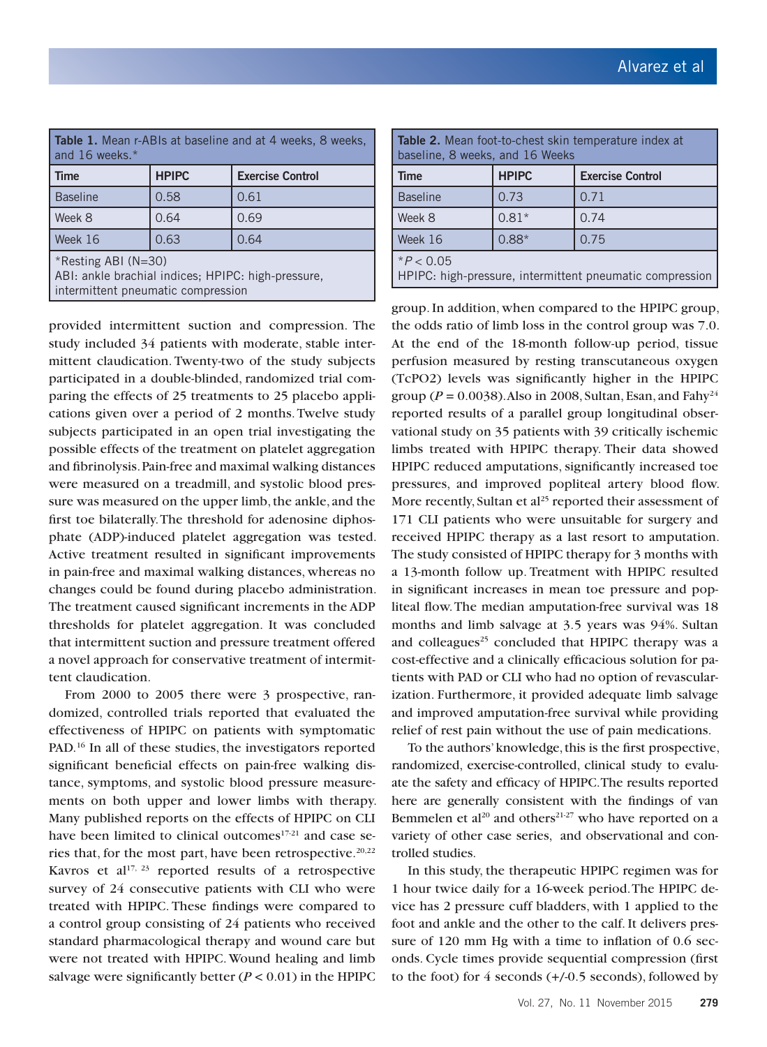| <b>Table 1.</b> Mean r-ABIs at baseline and at 4 weeks, 8 weeks,<br>and 16 weeks.*                                     |              |                         |  |
|------------------------------------------------------------------------------------------------------------------------|--------------|-------------------------|--|
| <b>Time</b>                                                                                                            | <b>HPIPC</b> | <b>Exercise Control</b> |  |
| Baseline                                                                                                               | 0.58         | 0.61                    |  |
| Week 8                                                                                                                 | 0.64         | 0.69                    |  |
| Week 16                                                                                                                | 0.63         | 0.64                    |  |
| $\mid$ *Resting ABI (N=30)<br>ABI: ankle brachial indices; HPIPC: high-pressure,<br>intermittent pneumatic compression |              |                         |  |

provided intermittent suction and compression. The study included 34 patients with moderate, stable intermittent claudication. Twenty-two of the study subjects participated in a double-blinded, randomized trial comparing the effects of 25 treatments to 25 placebo applications given over a period of 2 months. Twelve study subjects participated in an open trial investigating the possible effects of the treatment on platelet aggregation and fibrinolysis. Pain-free and maximal walking distances were measured on a treadmill, and systolic blood pressure was measured on the upper limb, the ankle, and the first toe bilaterally. The threshold for adenosine diphosphate (ADP)-induced platelet aggregation was tested. Active treatment resulted in significant improvements in pain-free and maximal walking distances, whereas no changes could be found during placebo administration. The treatment caused significant increments in the ADP thresholds for platelet aggregation. It was concluded that intermittent suction and pressure treatment offered a novel approach for conservative treatment of intermittent claudication.

From 2000 to 2005 there were 3 prospective, randomized, controlled trials reported that evaluated the effectiveness of HPIPC on patients with symptomatic PAD.<sup>16</sup> In all of these studies, the investigators reported significant beneficial effects on pain-free walking distance, symptoms, and systolic blood pressure measurements on both upper and lower limbs with therapy. Many published reports on the effects of HPIPC on CLI have been limited to clinical outcomes<sup>17-21</sup> and case series that, for the most part, have been retrospective. $20,22$ Kavros et al $17, 23$  reported results of a retrospective survey of 24 consecutive patients with CLI who were treated with HPIPC. These findings were compared to a control group consisting of 24 patients who received standard pharmacological therapy and wound care but were not treated with HPIPC. Wound healing and limb salvage were significantly better  $(P < 0.01)$  in the HPIPC

| Table 2. Mean foot-to-chest skin temperature index at<br>baseline, 8 weeks, and 16 Weeks |              |                         |  |
|------------------------------------------------------------------------------------------|--------------|-------------------------|--|
| <b>Time</b>                                                                              | <b>HPIPC</b> | <b>Exercise Control</b> |  |
| <b>Baseline</b>                                                                          | 0.73         | 0.71                    |  |
| Week 8                                                                                   | $0.81*$      | 0.74                    |  |
| Week 16                                                                                  | $0.88*$      | 0.75                    |  |
| $*P < 0.05$<br>HPIPC: high-pressure, intermittent pneumatic compression                  |              |                         |  |

group. In addition, when compared to the HPIPC group, the odds ratio of limb loss in the control group was 7.0. At the end of the 18-month follow-up period, tissue perfusion measured by resting transcutaneous oxygen (TcPO2) levels was significantly higher in the HPIPC group ( $P = 0.0038$ ). Also in 2008, Sultan, Esan, and Fahy<sup>24</sup> reported results of a parallel group longitudinal observational study on 35 patients with 39 critically ischemic limbs treated with HPIPC therapy. Their data showed HPIPC reduced amputations, significantly increased toe pressures, and improved popliteal artery blood flow. More recently, Sultan et  $al<sup>25</sup>$  reported their assessment of 171 CLI patients who were unsuitable for surgery and received HPIPC therapy as a last resort to amputation. The study consisted of HPIPC therapy for 3 months with a 13-month follow up. Treatment with HPIPC resulted in significant increases in mean toe pressure and popliteal flow. The median amputation-free survival was 18 months and limb salvage at 3.5 years was 94%. Sultan and colleagues<sup>25</sup> concluded that HPIPC therapy was a cost-effective and a clinically efficacious solution for patients with PAD or CLI who had no option of revascularization. Furthermore, it provided adequate limb salvage and improved amputation-free survival while providing relief of rest pain without the use of pain medications.

To the authors' knowledge, this is the first prospective, randomized, exercise-controlled, clinical study to evaluate the safety and efficacy of HPIPC. The results reported here are generally consistent with the findings of van Bemmelen et al<sup>20</sup> and others<sup>21-27</sup> who have reported on a variety of other case series, and observational and controlled studies.

In this study, the therapeutic HPIPC regimen was for 1 hour twice daily for a 16-week period. The HPIPC device has 2 pressure cuff bladders, with 1 applied to the foot and ankle and the other to the calf. It delivers pressure of 120 mm Hg with a time to inflation of 0.6 seconds. Cycle times provide sequential compression (first to the foot) for 4 seconds (+/-0.5 seconds), followed by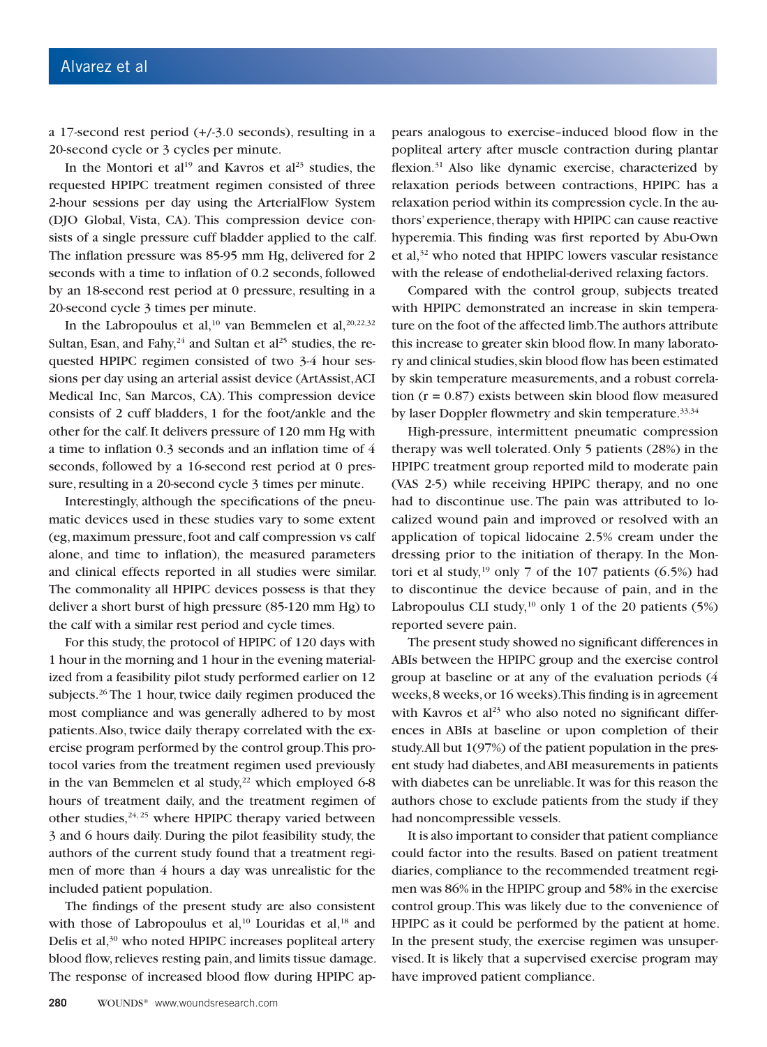a 17-second rest period (+/-3.0 seconds), resulting in a 20-second cycle or 3 cycles per minute.

In the Montori et al<sup>19</sup> and Kavros et al<sup>23</sup> studies, the requested HPIPC treatment regimen consisted of three 2-hour sessions per day using the ArterialFlow System (DJO Global, Vista, CA). This compression device consists of a single pressure cuff bladder applied to the calf. The inflation pressure was 85-95 mm Hg, delivered for 2 seconds with a time to inflation of 0.2 seconds, followed by an 18-second rest period at 0 pressure, resulting in a 20-second cycle 3 times per minute.

In the Labropoulus et al,<sup>10</sup> van Bemmelen et al,<sup>20,22,32</sup> Sultan, Esan, and Fahy,  $24$  and Sultan et al<sup>25</sup> studies, the requested HPIPC regimen consisted of two 3-4 hour sessions per day using an arterial assist device (ArtAssist, ACI Medical Inc, San Marcos, CA). This compression device consists of 2 cuff bladders, 1 for the foot/ankle and the other for the calf. It delivers pressure of 120 mm Hg with a time to inflation 0.3 seconds and an inflation time of 4 seconds, followed by a 16-second rest period at 0 pressure, resulting in a 20-second cycle 3 times per minute.

Interestingly, although the specifications of the pneumatic devices used in these studies vary to some extent (eg, maximum pressure, foot and calf compression vs calf alone, and time to inflation), the measured parameters and clinical effects reported in all studies were similar. The commonality all HPIPC devices possess is that they deliver a short burst of high pressure (85-120 mm Hg) to the calf with a similar rest period and cycle times.

For this study, the protocol of HPIPC of 120 days with 1 hour in the morning and 1 hour in the evening materialized from a feasibility pilot study performed earlier on 12 subjects.<sup>26</sup> The 1 hour, twice daily regimen produced the most compliance and was generally adhered to by most patients. Also, twice daily therapy correlated with the exercise program performed by the control group. This protocol varies from the treatment regimen used previously in the van Bemmelen et al study,<sup>22</sup> which employed  $6-8$ hours of treatment daily, and the treatment regimen of other studies, $24, 25$  where HPIPC therapy varied between 3 and 6 hours daily. During the pilot feasibility study, the authors of the current study found that a treatment regimen of more than 4 hours a day was unrealistic for the included patient population.

The findings of the present study are also consistent with those of Labropoulus et al, $^{10}$  Louridas et al, $^{18}$  and Delis et al,<sup>30</sup> who noted HPIPC increases popliteal artery blood flow, relieves resting pain, and limits tissue damage. The response of increased blood flow during HPIPC appears analogous to exercise–induced blood flow in the popliteal artery after muscle contraction during plantar flexion.<sup>31</sup> Also like dynamic exercise, characterized by relaxation periods between contractions, HPIPC has a relaxation period within its compression cycle. In the authors' experience, therapy with HPIPC can cause reactive hyperemia. This finding was first reported by Abu-Own et al,32 who noted that HPIPC lowers vascular resistance with the release of endothelial-derived relaxing factors.

Compared with the control group, subjects treated with HPIPC demonstrated an increase in skin temperature on the foot of the affected limb. The authors attribute this increase to greater skin blood flow. In many laboratory and clinical studies, skin blood flow has been estimated by skin temperature measurements, and a robust correlation ( $r = 0.87$ ) exists between skin blood flow measured by laser Doppler flowmetry and skin temperature.<sup>33,34</sup>

High-pressure, intermittent pneumatic compression therapy was well tolerated. Only 5 patients (28%) in the HPIPC treatment group reported mild to moderate pain (VAS 2-5) while receiving HPIPC therapy, and no one had to discontinue use. The pain was attributed to localized wound pain and improved or resolved with an application of topical lidocaine 2.5% cream under the dressing prior to the initiation of therapy. In the Montori et al study,<sup>19</sup> only 7 of the 107 patients  $(6.5%)$  had to discontinue the device because of pain, and in the Labropoulus CLI study, $10$  only 1 of the 20 patients (5%) reported severe pain.

The present study showed no significant differences in ABIs between the HPIPC group and the exercise control group at baseline or at any of the evaluation periods (4 weeks, 8 weeks, or 16 weeks). This finding is in agreement with Kavros et al<sup>23</sup> who also noted no significant differences in ABIs at baseline or upon completion of their study. All but 1(97%) of the patient population in the present study had diabetes, and ABI measurements in patients with diabetes can be unreliable. It was for this reason the authors chose to exclude patients from the study if they had noncompressible vessels.

It is also important to consider that patient compliance could factor into the results. Based on patient treatment diaries, compliance to the recommended treatment regimen was 86% in the HPIPC group and 58% in the exercise control group. This was likely due to the convenience of HPIPC as it could be performed by the patient at home. In the present study, the exercise regimen was unsupervised. It is likely that a supervised exercise program may have improved patient compliance.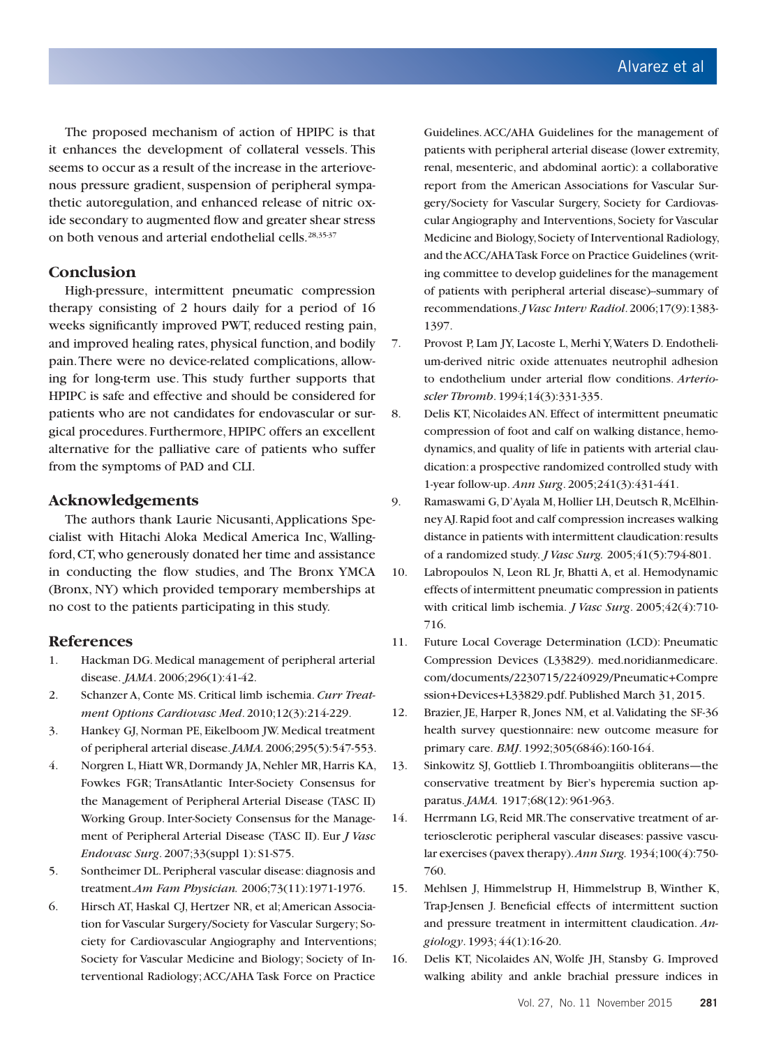The proposed mechanism of action of HPIPC is that it enhances the development of collateral vessels. This seems to occur as a result of the increase in the arteriovenous pressure gradient, suspension of peripheral sympathetic autoregulation, and enhanced release of nitric oxide secondary to augmented flow and greater shear stress on both venous and arterial endothelial cells.<sup>28,35-37</sup>

## **Conclusion**

High-pressure, intermittent pneumatic compression therapy consisting of 2 hours daily for a period of 16 weeks significantly improved PWT, reduced resting pain, and improved healing rates, physical function, and bodily pain. There were no device-related complications, allowing for long-term use. This study further supports that HPIPC is safe and effective and should be considered for patients who are not candidates for endovascular or surgical procedures. Furthermore, HPIPC offers an excellent alternative for the palliative care of patients who suffer from the symptoms of PAD and CLI.

## **Acknowledgements**

The authors thank Laurie Nicusanti, Applications Specialist with Hitachi Aloka Medical America Inc, Wallingford, CT, who generously donated her time and assistance in conducting the flow studies, and The Bronx YMCA (Bronx, NY) which provided temporary memberships at no cost to the patients participating in this study.

## **References**

- 1. Hackman DG. Medical management of peripheral arterial disease. *JAMA*. 2006;296(1):41-42.
- 2. Schanzer A, Conte MS. Critical limb ischemia. *Curr Treatment Options Cardiovasc Med*. 2010;12(3):214-229.
- 3. Hankey GJ, Norman PE, Eikelboom JW. Medical treatment of peripheral arterial disease. *JAMA.* 2006;295(5):547-553.
- 4. Norgren L, Hiatt WR, Dormandy JA, Nehler MR, Harris KA, Fowkes FGR; TransAtlantic Inter-Society Consensus for the Management of Peripheral Arterial Disease (TASC II) Working Group. Inter-Society Consensus for the Management of Peripheral Arterial Disease (TASC II). Eur *J Vasc Endovasc Surg*. 2007;33(suppl 1): S1-S75.
- 5. Sontheimer DL. Peripheral vascular disease: diagnosis and treatment.*Am Fam Physician.* 2006;73(11):1971-1976.
- 6. Hirsch AT, Haskal CJ, Hertzer NR, et al; American Association for Vascular Surgery/Society for Vascular Surgery; Society for Cardiovascular Angiography and Interventions; Society for Vascular Medicine and Biology; Society of Interventional Radiology; ACC/AHA Task Force on Practice

Guidelines. ACC/AHA Guidelines for the management of patients with peripheral arterial disease (lower extremity, renal, mesenteric, and abdominal aortic): a collaborative report from the American Associations for Vascular Surgery/Society for Vascular Surgery, Society for Cardiovascular Angiography and Interventions, Society for Vascular Medicine and Biology, Society of Interventional Radiology, and the ACC/AHA Task Force on Practice Guidelines (writing committee to develop guidelines for the management of patients with peripheral arterial disease)-summary of recommendations. *J Vasc Interv Radiol*. 2006;17(9):1383- 1397.

7. Provost P, Lam JY, Lacoste L, Merhi Y, Waters D. Endothelium-derived nitric oxide attenuates neutrophil adhesion to endothelium under arterial flow conditions. *Arterioscler Thromb*. 1994;14(3):331-335.

8. Delis KT, Nicolaides AN. Effect of intermittent pneumatic compression of foot and calf on walking distance, hemodynamics, and quality of life in patients with arterial claudication: a prospective randomized controlled study with 1-year follow-up. *Ann Surg*. 2005;241(3):431-441.

- 9. Ramaswami G, D'Ayala M, Hollier LH, Deutsch R, McElhinney AJ. Rapid foot and calf compression increases walking distance in patients with intermittent claudication: results of a randomized study. *J Vasc Surg.* 2005;41(5):794-801.
- 10. Labropoulos N, Leon RL Jr, Bhatti A, et al. Hemodynamic effects of intermittent pneumatic compression in patients with critical limb ischemia. *J Vasc Surg*. 2005;42(4):710- 716.
- 11. Future Local Coverage Determination (LCD): Pneumatic Compression Devices (L33829). med.noridianmedicare. com/documents/2230715/2240929/Pneumatic+Compre ssion+Devices+L33829.pdf. Published March 31, 2015.
- 12. Brazier, JE, Harper R, Jones NM, et al. Validating the SF-36 health survey questionnaire: new outcome measure for primary care. *BMJ*. 1992;305(6846):160-164.
- 13. Sinkowitz SJ, Gottlieb I. Thromboangiitis obliterans—the conservative treatment by Bier's hyperemia suction apparatus. *JAMA.* 1917;68(12): 961-963.
- 14. Herrmann LG, Reid MR. The conservative treatment of arteriosclerotic peripheral vascular diseases: passive vascular exercises (pavex therapy). *Ann Surg.* 1934;100(4):750- 760.
- 15. Mehlsen J, Himmelstrup H, Himmelstrup B, Winther K, Trap-Jensen J. Beneficial effects of intermittent suction and pressure treatment in intermittent claudication. *Angiology*. 1993; 44(1):16-20.
- 16. Delis KT, Nicolaides AN, Wolfe JH, Stansby G. Improved walking ability and ankle brachial pressure indices in